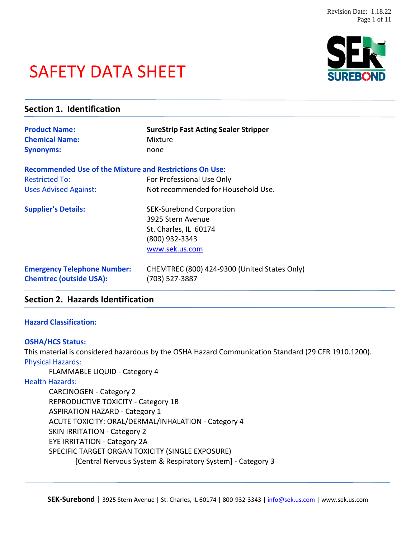# SAFETY DATA SHEET



## **Section 1. Identification Product Name:** SureStrip Fast Acting Sealer Stripper **Chemical Name:** Mixture **Synonyms:** none **Recommended Use of the Mixture and Restrictions On Use:** Restricted To: For Professional Use Only Uses Advised Against: Not recommended for Household Use. **Supplier's Details:** SEK-Surebond Corporation 3925 Stern Avenue St. Charles, IL 60174 (800) 932-3343 [www.sek.us.com](http://www.sek.us.com/) **Emergency Telephone Number:** CHEMTREC (800) 424-9300 (United States Only) **Chemtrec (outside USA):** (703) 527-3887

## **Section 2. Hazards Identification**

#### **Hazard Classification:**

#### **OSHA/HCS Status:**

This material is considered hazardous by the OSHA Hazard Communication Standard (29 CFR 1910.1200). Physical Hazards:

FLAMMABLE LIQUID - Category 4

#### Health Hazards:

CARCINOGEN - Category 2 REPRODUCTIVE TOXICITY - Category 1B ASPIRATION HAZARD - Category 1 ACUTE TOXICITY: ORAL/DERMAL/INHALATION - Category 4 SKIN IRRITATION - Category 2 EYE IRRITATION - Category 2A SPECIFIC TARGET ORGAN TOXICITY (SINGLE EXPOSURE) [Central Nervous System & Respiratory System] - Category 3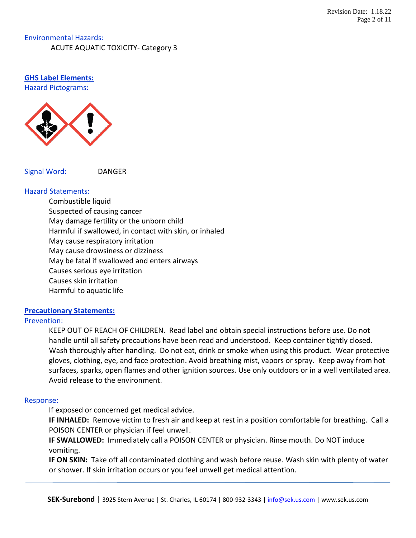## Environmental Hazards: ACUTE AQUATIC TOXICITY- Category 3

#### **GHS Label Elements:** Hazard Pictograms:



Signal Word: DANGER

#### Hazard Statements:

Combustible liquid Suspected of causing cancer May damage fertility or the unborn child Harmful if swallowed, in contact with skin, or inhaled May cause respiratory irritation May cause drowsiness or dizziness May be fatal if swallowed and enters airways Causes serious eye irritation Causes skin irritation Harmful to aquatic life

#### **Precautionary Statements:**

#### Prevention:

KEEP OUT OF REACH OF CHILDREN. Read label and obtain special instructions before use. Do not handle until all safety precautions have been read and understood. Keep container tightly closed. Wash thoroughly after handling. Do not eat, drink or smoke when using this product. Wear protective gloves, clothing, eye, and face protection. Avoid breathing mist, vapors or spray. Keep away from hot surfaces, sparks, open flames and other ignition sources. Use only outdoors or in a well ventilated area. Avoid release to the environment.

## Response:

If exposed or concerned get medical advice.

**IF INHALED:** Remove victim to fresh air and keep at rest in a position comfortable for breathing. Call a POISON CENTER or physician if feel unwell.

**IF SWALLOWED:** Immediately call a POISON CENTER or physician. Rinse mouth. Do NOT induce vomiting.

**IF ON SKIN:** Take off all contaminated clothing and wash before reuse. Wash skin with plenty of water or shower. If skin irritation occurs or you feel unwell get medical attention.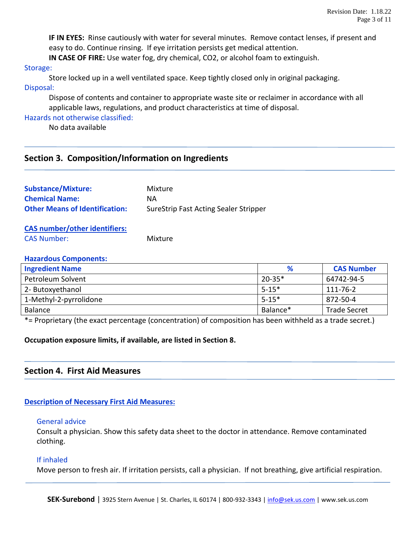**IF IN EYES:** Rinse cautiously with water for several minutes. Remove contact lenses, if present and easy to do. Continue rinsing. If eye irritation persists get medical attention.

**IN CASE OF FIRE:** Use water fog, dry chemical, CO2, or alcohol foam to extinguish.

#### Storage:

Store locked up in a well ventilated space. Keep tightly closed only in original packaging. Disposal:

Dispose of contents and container to appropriate waste site or reclaimer in accordance with all applicable laws, regulations, and product characteristics at time of disposal.

Hazards not otherwise classified:

No data available

## **Section 3. Composition/Information on Ingredients**

| <b>Substance/Mixture:</b>             | Mixture                               |
|---------------------------------------|---------------------------------------|
| <b>Chemical Name:</b>                 | NА                                    |
| <b>Other Means of Identification:</b> | SureStrip Fast Acting Sealer Stripper |
| <b>CAS number/other identifiers:</b>  |                                       |
| <b>CAS Number:</b>                    | Mixture                               |

#### **Hazardous Components:**

| <b>Ingredient Name</b>      | %          | <b>CAS Number</b>                                                                                               |
|-----------------------------|------------|-----------------------------------------------------------------------------------------------------------------|
| Petroleum Solvent           | $20 - 35*$ | 64742-94-5                                                                                                      |
| 2- Butoxyethanol            | $5 - 15*$  | 111-76-2                                                                                                        |
| 1-Methyl-2-pyrrolidone      | $5 - 15*$  | 872-50-4                                                                                                        |
| <b>Balance</b>              | Balance*   | <b>Trade Secret</b>                                                                                             |
| $\sim$ $\sim$ $\sim$ $\sim$ | .<br>.     | the contract of the contract of the contract of the contract of the contract of the contract of the contract of |

\*= Proprietary (the exact percentage (concentration) of composition has been withheld as a trade secret.)

#### **Occupation exposure limits, if available, are listed in Section 8.**

## **Section 4. First Aid Measures**

#### **Description of Necessary First Aid Measures:**

#### General advice

Consult a physician. Show this safety data sheet to the doctor in attendance. Remove contaminated clothing.

#### If inhaled

Move person to fresh air. If irritation persists, call a physician. If not breathing, give artificial respiration.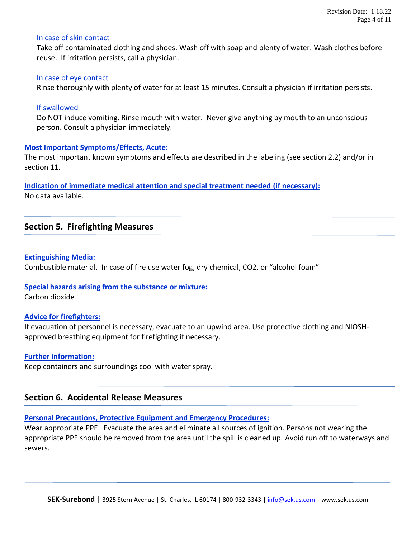#### In case of skin contact

Take off contaminated clothing and shoes. Wash off with soap and plenty of water. Wash clothes before reuse. If irritation persists, call a physician.

#### In case of eye contact

Rinse thoroughly with plenty of water for at least 15 minutes. Consult a physician if irritation persists.

#### If swallowed

Do NOT induce vomiting. Rinse mouth with water. Never give anything by mouth to an unconscious person. Consult a physician immediately.

#### **Most Important Symptoms/Effects, Acute:**

The most important known symptoms and effects are described in the labeling (see section 2.2) and/or in section 11.

**Indication of immediate medical attention and special treatment needed (if necessary):** No data available.

## **Section 5. Firefighting Measures**

#### **Extinguishing Media:**

Combustible material. In case of fire use water fog, dry chemical, CO2, or "alcohol foam"

#### **Special hazards arising from the substance or mixture:**

Carbon dioxide

#### **Advice for firefighters:**

If evacuation of personnel is necessary, evacuate to an upwind area. Use protective clothing and NIOSHapproved breathing equipment for firefighting if necessary.

#### **Further information:**

Keep containers and surroundings cool with water spray.

#### **Section 6. Accidental Release Measures**

#### **Personal Precautions, Protective Equipment and Emergency Procedures:**

Wear appropriate PPE. Evacuate the area and eliminate all sources of ignition. Persons not wearing the appropriate PPE should be removed from the area until the spill is cleaned up. Avoid run off to waterways and sewers.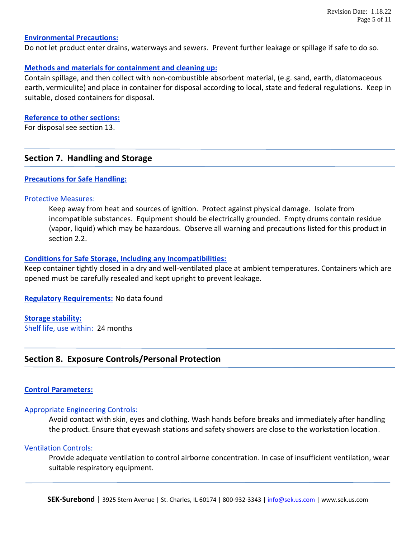#### **Environmental Precautions:**

Do not let product enter drains, waterways and sewers. Prevent further leakage or spillage if safe to do so.

#### **Methods and materials for containment and cleaning up:**

Contain spillage, and then collect with non-combustible absorbent material, (e.g. sand, earth, diatomaceous earth, vermiculite) and place in container for disposal according to local, state and federal regulations. Keep in suitable, closed containers for disposal.

#### **Reference to other sections:**

For disposal see section 13.

## **Section 7. Handling and Storage**

#### **Precautions for Safe Handling:**

#### Protective Measures:

Keep away from heat and sources of ignition. Protect against physical damage. Isolate from incompatible substances. Equipment should be electrically grounded. Empty drums contain residue (vapor, liquid) which may be hazardous. Observe all warning and precautions listed for this product in section 2.2.

#### **Conditions for Safe Storage, Including any Incompatibilities:**

Keep container tightly closed in a dry and well-ventilated place at ambient temperatures. Containers which are opened must be carefully resealed and kept upright to prevent leakage.

**Regulatory Requirements:** No data found

**Storage stability:** Shelf life, use within: 24 months

## **Section 8. Exposure Controls/Personal Protection**

#### **Control Parameters:**

#### Appropriate Engineering Controls:

Avoid contact with skin, eyes and clothing. Wash hands before breaks and immediately after handling the product. Ensure that eyewash stations and safety showers are close to the workstation location.

#### Ventilation Controls:

Provide adequate ventilation to control airborne concentration. In case of insufficient ventilation, wear suitable respiratory equipment.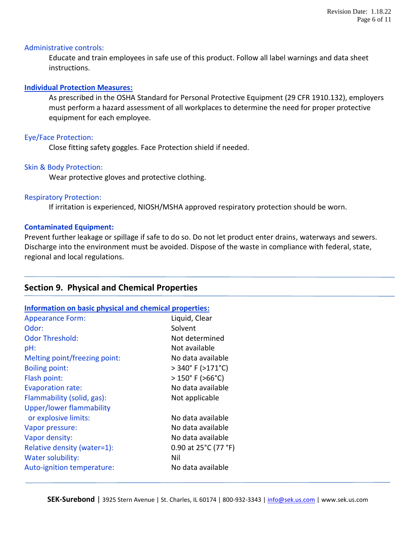#### Administrative controls:

Educate and train employees in safe use of this product. Follow all label warnings and data sheet instructions.

#### **Individual Protection Measures:**

As prescribed in the OSHA Standard for Personal Protective Equipment (29 CFR 1910.132), employers must perform a hazard assessment of all workplaces to determine the need for proper protective equipment for each employee.

#### Eye/Face Protection:

Close fitting safety goggles. Face Protection shield if needed.

#### Skin & Body Protection:

Wear protective gloves and protective clothing.

#### Respiratory Protection:

If irritation is experienced, NIOSH/MSHA approved respiratory protection should be worn.

#### **Contaminated Equipment:**

Prevent further leakage or spillage if safe to do so. Do not let product enter drains, waterways and sewers. Discharge into the environment must be avoided. Dispose of the waste in compliance with federal, state, regional and local regulations.

#### **Section 9. Physical and Chemical Properties**

#### **Information on basic physical and chemical properties:**

| <b>Appearance Form:</b>         | Liquid, Clear                        |
|---------------------------------|--------------------------------------|
| Odor:                           | Solvent                              |
| <b>Odor Threshold:</b>          | Not determined                       |
| pH:                             | Not available                        |
| Melting point/freezing point:   | No data available                    |
| <b>Boiling point:</b>           | $>340^{\circ}$ F ( $>171^{\circ}$ C) |
| Flash point:                    | $>150^{\circ}$ F ( $>66^{\circ}$ C)  |
| <b>Evaporation rate:</b>        | No data available                    |
| Flammability (solid, gas):      | Not applicable                       |
| <b>Upper/lower flammability</b> |                                      |
| or explosive limits:            | No data available                    |
| Vapor pressure:                 | No data available                    |
| Vapor density:                  | No data available                    |
| Relative density (water=1):     | 0.90 at 25°C (77 °F)                 |
| Water solubility:               | Nil                                  |
| Auto-ignition temperature:      | No data available                    |
|                                 |                                      |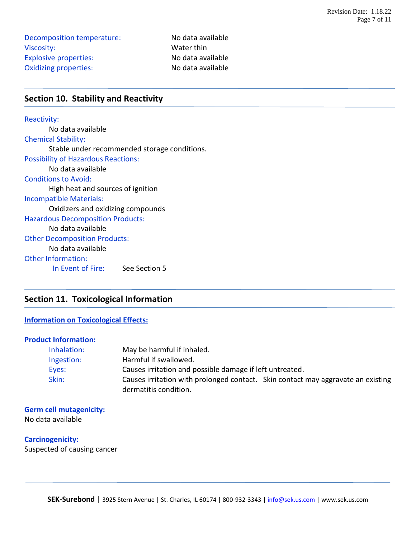Decomposition temperature: No data available Viscosity: Water thin Explosive properties: No data available Oxidizing properties: No data available

## **Section 10. Stability and Reactivity**

#### Reactivity:

No data available Chemical Stability: Stable under recommended storage conditions. Possibility of Hazardous Reactions: No data available Conditions to Avoid: High heat and sources of ignition Incompatible Materials: Oxidizers and oxidizing compounds Hazardous Decomposition Products: No data available Other Decomposition Products: No data available Other Information: In Event of Fire: See Section 5

## **Section 11. Toxicological Information**

#### **Information on Toxicological Effects:**

#### **Product Information:**

| Inhalation: | May be harmful if inhaled.                                                       |
|-------------|----------------------------------------------------------------------------------|
| Ingestion:  | Harmful if swallowed.                                                            |
| Eyes:       | Causes irritation and possible damage if left untreated.                         |
| Skin:       | Causes irritation with prolonged contact. Skin contact may aggravate an existing |
|             | dermatitis condition.                                                            |

#### **Germ cell mutagenicity:**

No data available

**Carcinogenicity:** Suspected of causing cancer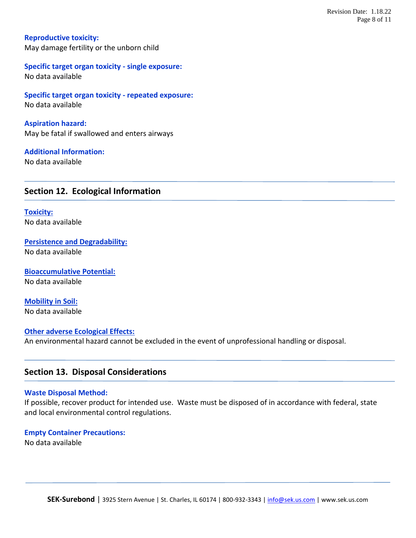**Reproductive toxicity:** May damage fertility or the unborn child

**Specific target organ toxicity - single exposure:** No data available

**Specific target organ toxicity - repeated exposure:** No data available

**Aspiration hazard:** May be fatal if swallowed and enters airways

**Additional Information:** No data available

## **Section 12. Ecological Information**

**Toxicity:** No data available

**Persistence and Degradability:** No data available

**Bioaccumulative Potential:** No data available

**Mobility in Soil:** No data available

#### **Other adverse Ecological Effects:**

An environmental hazard cannot be excluded in the event of unprofessional handling or disposal.

#### **Section 13. Disposal Considerations**

#### **Waste Disposal Method:**

If possible, recover product for intended use. Waste must be disposed of in accordance with federal, state and local environmental control regulations.

#### **Empty Container Precautions:**

No data available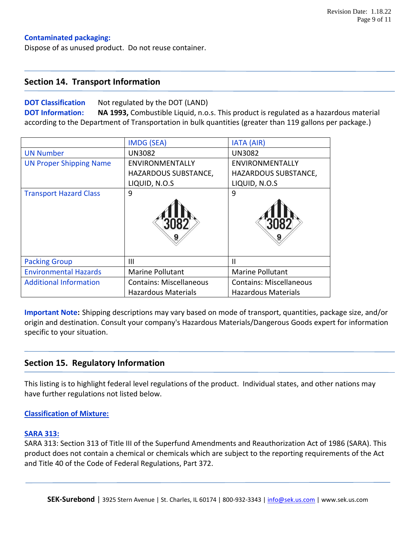#### **Contaminated packaging:**

Dispose of as unused product. Do not reuse container.

#### **Section 14. Transport Information**

#### **DOT Classification** Not regulated by the DOT (LAND)

**DOT Information: NA 1993,** Combustible Liquid, n.o.s. This product is regulated as a hazardous material according to the Department of Transportation in bulk quantities (greater than 119 gallons per package.)

|                                | <b>IMDG (SEA)</b>              | <b>IATA (AIR)</b>              |
|--------------------------------|--------------------------------|--------------------------------|
| <b>UN Number</b>               | <b>UN3082</b>                  | <b>UN3082</b>                  |
| <b>UN Proper Shipping Name</b> | <b>ENVIRONMENTALLY</b>         | <b>ENVIRONMENTALLY</b>         |
|                                | HAZARDOUS SUBSTANCE,           | HAZARDOUS SUBSTANCE,           |
|                                | LIQUID, N.O.S                  | LIQUID, N.O.S                  |
| <b>Transport Hazard Class</b>  | 9                              | 9                              |
|                                |                                |                                |
| <b>Packing Group</b>           | $\mathbf{III}$                 | $\mathbf{II}$                  |
| <b>Environmental Hazards</b>   | <b>Marine Pollutant</b>        | <b>Marine Pollutant</b>        |
| <b>Additional Information</b>  | <b>Contains: Miscellaneous</b> | <b>Contains: Miscellaneous</b> |
|                                | <b>Hazardous Materials</b>     | <b>Hazardous Materials</b>     |

**Important Note:** Shipping descriptions may vary based on mode of transport, quantities, package size, and/or origin and destination. Consult your company's Hazardous Materials/Dangerous Goods expert for information specific to your situation.

## **Section 15. Regulatory Information**

This listing is to highlight federal level regulations of the product. Individual states, and other nations may have further regulations not listed below.

#### **Classification of Mixture:**

#### **SARA 313:**

SARA 313: Section 313 of Title III of the Superfund Amendments and Reauthorization Act of 1986 (SARA). This product does not contain a chemical or chemicals which are subject to the reporting requirements of the Act and Title 40 of the Code of Federal Regulations, Part 372.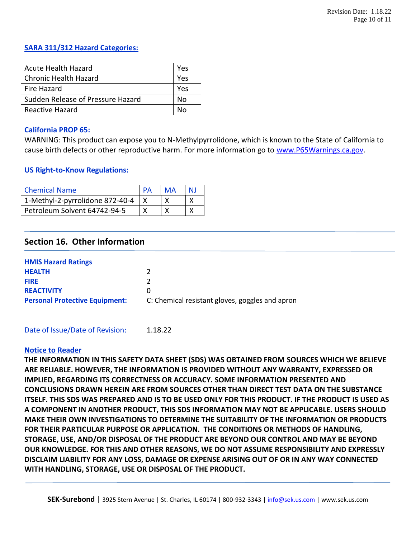## **SARA 311/312 Hazard Categories:**

| <b>Acute Health Hazard</b>        | Yes |
|-----------------------------------|-----|
| <b>Chronic Health Hazard</b>      | Yes |
| Fire Hazard                       | Yes |
| Sudden Release of Pressure Hazard | Nο  |
| Reactive Hazard                   | N۵  |

#### **California PROP 65:**

WARNING: This product can expose you to N-Methylpyrrolidone, which is known to the State of California to cause birth defects or other reproductive harm. For more information go to [www.P65Warnings.ca.gov.](http://www.p65warnings.ca.gov/)

#### **US Right-to-Know Regulations:**

| <b>Chemical Name</b>            | MA |  |
|---------------------------------|----|--|
| 1-Methyl-2-pyrrolidone 872-40-4 |    |  |
| Petroleum Solvent 64742-94-5    |    |  |

## **Section 16. Other Information**

| <b>HMIS Hazard Ratings</b>            |                                                 |
|---------------------------------------|-------------------------------------------------|
| <b>HEALTH</b>                         |                                                 |
| <b>FIRE</b>                           |                                                 |
| <b>REACTIVITY</b>                     |                                                 |
| <b>Personal Protective Equipment:</b> | C: Chemical resistant gloves, goggles and apron |

#### Date of Issue/Date of Revision: 1.18.22

#### **Notice to Reader**

**THE INFORMATION IN THIS SAFETY DATA SHEET (SDS) WAS OBTAINED FROM SOURCES WHICH WE BELIEVE ARE RELIABLE. HOWEVER, THE INFORMATION IS PROVIDED WITHOUT ANY WARRANTY, EXPRESSED OR IMPLIED, REGARDING ITS CORRECTNESS OR ACCURACY. SOME INFORMATION PRESENTED AND CONCLUSIONS DRAWN HEREIN ARE FROM SOURCES OTHER THAN DIRECT TEST DATA ON THE SUBSTANCE ITSELF. THIS SDS WAS PREPARED AND IS TO BE USED ONLY FOR THIS PRODUCT. IF THE PRODUCT IS USED AS A COMPONENT IN ANOTHER PRODUCT, THIS SDS INFORMATION MAY NOT BE APPLICABLE. USERS SHOULD MAKE THEIR OWN INVESTIGATIONS TO DETERMINE THE SUITABILITY OF THE INFORMATION OR PRODUCTS FOR THEIR PARTICULAR PURPOSE OR APPLICATION. THE CONDITIONS OR METHODS OF HANDLING, STORAGE, USE, AND/OR DISPOSAL OF THE PRODUCT ARE BEYOND OUR CONTROL AND MAY BE BEYOND OUR KNOWLEDGE. FOR THIS AND OTHER REASONS, WE DO NOT ASSUME RESPONSIBILITY AND EXPRESSLY DISCLAIM LIABILITY FOR ANY LOSS, DAMAGE OR EXPENSE ARISING OUT OF OR IN ANY WAY CONNECTED WITH HANDLING, STORAGE, USE OR DISPOSAL OF THE PRODUCT.**